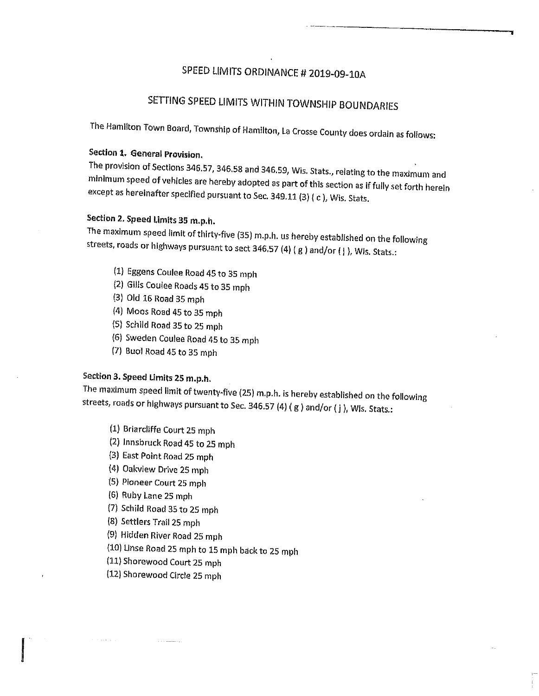## SPEED LIMITS ORDINANCE # 2019-09-10A

# SETTING SPEED LIMITS WITHIN TOWNSHIP BOUNDARIES

The Hamilton Town Board, Township of Hamilton, La Crosse County does ordain as follows:

Section 1. General Provision.<br>The provision of Sections 346.57, 346.58 and 346.59, Wis. Stats., relating to the maximum and minimum speed of vehicles are hereby adopted as part of this section as if fully set forth herein<br>except as hereinafter specified pursuant to Sec. 349.11 (3) ( c ), Wis. Stats.

## Section 2. Speed Limits 35 m.p.h.

The maximum speed limit of thirty-five (35) m.p.h. us hereby established on the following streets, roads or highways pursuant to sect 346.57 (4) ( <sup>g</sup> ) and/or ( <sup>j</sup> ), Wis. Stats.:

- (1) Eggens Coulee Road <sup>45</sup> to <sup>35</sup> mph
- (2) Gills Coulee Roads <sup>45</sup> to <sup>35</sup> mph
- (3) Old 16 Road 35 mph
- (4) Moos Road 45 to 35 mph
- (5) Schild Road 35 to 25 mph
- (6) Sweden Coulee Road <sup>45</sup> to <sup>35</sup> mph
- (7) Buol Road 45 to 35 mph

### Section 3. Speed Limits 25 m.p,h.

The maximum speed limit of twenty-five (25) m.p.h. is hereby established on the following streets, roads or highways pursuant to Sec. 346.57 (4) (g ) and/or (j), Wis. Stats.:

- (1) Briarcliffe Court 25 mph
- (2) Innsbruck Road 45 to 25 mph
- (3) East Point Road 25 mph
- (4) Oakview Drive 25 mph
- (5 Pioneer Court 25 mph
- (6) Ruby Lane 25 mph
- (7 Schild Road 35 to 25 mph
- (8) Settlers Trail 25 mph
- {9) Hidden River Road 25 mph
- (10) Linse Road <sup>25</sup> mph to <sup>15</sup> mph back to <sup>25</sup> mph
- (11) Shorewood Court 25 mph
- (12) Shorewood Circle 25 mph